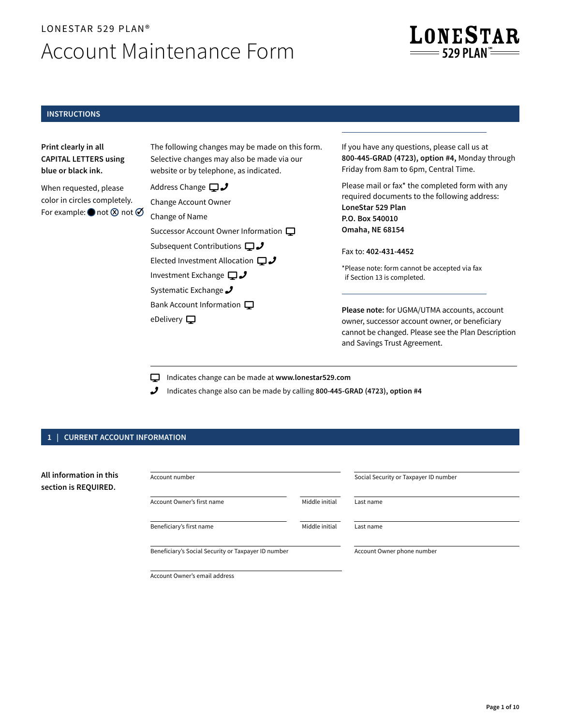# LONESTAR 529 PLAN® Account Maintenance Form



# **INSTRUCTIONS**

**Print clearly in all CAPITAL LETTERS using blue or black ink.**

When requested, please color in circles completely. For example:  $\bigcirc$  not  $\otimes$  not  $\oslash$  The following changes may be made on this form. Selective changes may also be made via our website or by telephone, as indicated.

Address Change  $\square J$ Change Account Owner

Change of Name

Successor Account Owner Information Subsequent Contributions  $\Box J$ Elected Investment Allocation  $\Box J$ Investment Exchange  $\Box J$ Systematic Exchange J

Bank Account Information

eDelivery  $\Box$ 

If you have any questions, please call us at **800-445-GRAD (4723), option #4,** Monday through Friday from 8am to 6pm, Central Time.

Please mail or fax\* the completed form with any required documents to the following address: **LoneStar 529 Plan P.O. Box 540010 Omaha, NE 68154**

Fax to: **402-431-4452** 

\* Please note: form cannot be accepted via fax if Section 13 is completed.

**Please note:** for UGMA/UTMA accounts, account owner, successor account owner, or beneficiary cannot be changed. Please see the Plan Description and Savings Trust Agreement.

Indicates change can be made at **www.lonestar529.com**

Indicates change also can be made by calling **800-445-GRAD (4723), option #4**

# **1 | CURRENT ACCOUNT INFORMATION**

| All information in this<br>section is REQUIRED. | Account number                                      |                | Social Security or Taxpayer ID number |  |
|-------------------------------------------------|-----------------------------------------------------|----------------|---------------------------------------|--|
|                                                 | Account Owner's first name                          | Middle initial | Last name                             |  |
|                                                 | Beneficiary's first name                            | Middle initial | Last name                             |  |
|                                                 | Beneficiary's Social Security or Taxpayer ID number |                | Account Owner phone number            |  |
|                                                 | Account Owner's email address                       |                |                                       |  |

**Page 1 of 10**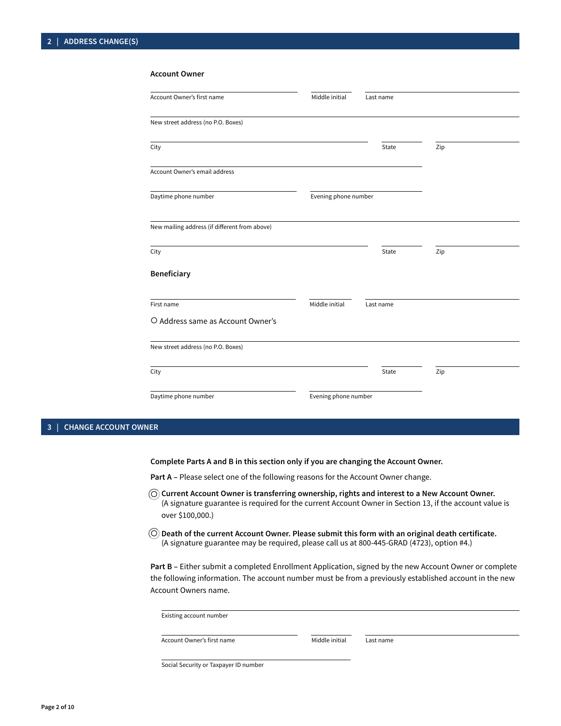| Account Owner's first name                    | Middle initial       | Last name |     |  |
|-----------------------------------------------|----------------------|-----------|-----|--|
| New street address (no P.O. Boxes)            |                      |           |     |  |
| City                                          |                      | State     | Zip |  |
| Account Owner's email address                 |                      |           |     |  |
| Daytime phone number                          | Evening phone number |           |     |  |
| New mailing address (if different from above) |                      |           |     |  |
| City                                          |                      | State     | Zip |  |
| Beneficiary                                   |                      |           |     |  |
| First name                                    | Middle initial       | Last name |     |  |
| O Address same as Account Owner's             |                      |           |     |  |
| New street address (no P.O. Boxes)            |                      |           |     |  |
| City                                          |                      | State     | Zip |  |
| Daytime phone number                          | Evening phone number |           |     |  |
|                                               |                      |           |     |  |

#### **Account Owner**

# **3 | CHANGE ACCOUNT OWNER**

**Complete Parts A and B in this section only if you are changing the Account Owner.**

Part A - Please select one of the following reasons for the Account Owner change.

- $\odot$  Current Account Owner is transferring ownership, rights and interest to a New Account Owner. (A signature guarantee is required for the current Account Owner in Section 13, if the account value is over \$100,000.)
- **Death of the current Account Owner. Please submit this form with an original death certificate.** (A signature guarantee may be required, please call us at 800-445-GRAD (4723), option #4.)

**Part B –** Either submit a completed Enrollment Application, signed by the new Account Owner or complete the following information. The account number must be from a previously established account in the new Account Owners name.

| Existing account number               |                |           |  |
|---------------------------------------|----------------|-----------|--|
| Account Owner's first name            | Middle initial | Last name |  |
| Cosial Coquisticar Tounguar ID number |                |           |  |

Social Security or Taxpayer ID number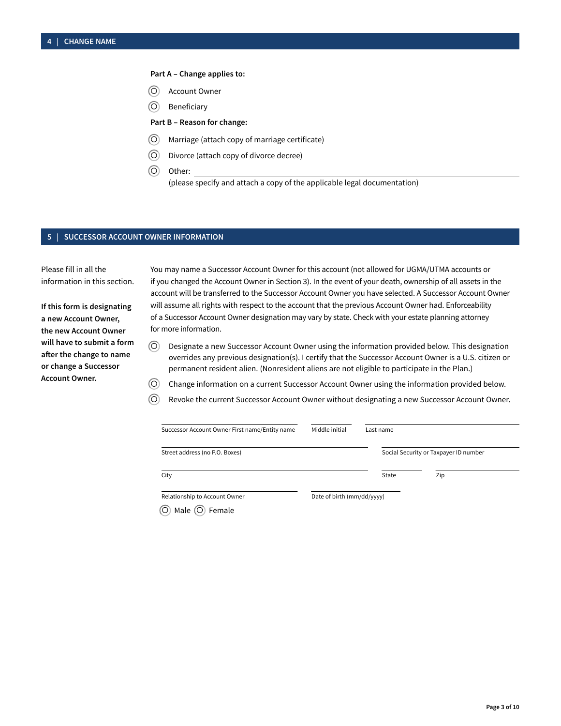# **Part A – Change applies to:**

- $\circledcirc$ Account Owner
- $\circledcirc$ Beneficiary

**Part B – Reason for change:**

- $\circledcirc$ Marriage (attach copy of marriage certificate)
- $\circledcirc$ Divorce (attach copy of divorce decree)
- $\circledcirc$ (please specify and attach a copy of the applicable legal documentation) Other:

# **5 | SUCCESSOR ACCOUNT OWNER INFORMATION**

Please fill in all the information in this section.

**If this form is designating a new Account Owner, the new Account Owner will have to submit a form after the change to name or change a Successor Account Owner.** 

You may name a Successor Account Owner for this account (not allowed for UGMA/UTMA accounts or if you changed the Account Owner in Section 3). In the event of your death, ownership of all assets in the account will be transferred to the Successor Account Owner you have selected. A Successor Account Owner will assume all rights with respect to the account that the previous Account Owner had. Enforceability of a Successor Account Owner designation may vary by state. Check with your estate planning attorney for more information.

- $\circledcirc$ Designate a new Successor Account Owner using the information provided below. This designation overrides any previous designation(s). I certify that the Successor Account Owner is a U.S. citizen or permanent resident alien. (Nonresident aliens are not eligible to participate in the Plan.)
- $\circledcirc$ Change information on a current Successor Account Owner using the information provided below.
- $\circledcirc$ Revoke the current Successor Account Owner without designating a new Successor Account Owner.

| Successor Account Owner First name/Entity name | Middle initial             | Last name |                                       |
|------------------------------------------------|----------------------------|-----------|---------------------------------------|
| Street address (no P.O. Boxes)                 |                            |           | Social Security or Taxpayer ID number |
| City                                           |                            | State     | Zip                                   |
| Relationship to Account Owner                  | Date of birth (mm/dd/yyyy) |           |                                       |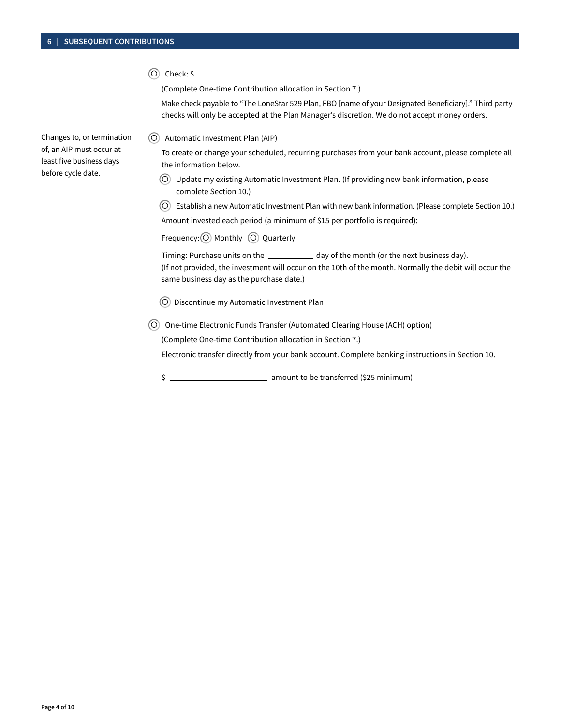$\circledcirc$  Check: \$

(Complete One-time Contribution allocation in Section 7.)

Make check payable to "The LoneStar 529 Plan, FBO [name of your Designated Beneficiary]." Third party checks will only be accepted at the Plan Manager's discretion. We do not accept money orders.

• Automatic Investment Plan (AIP)

To create or change your scheduled, recurring purchases from your bank account, please complete all the information below.

• Update my existing Automatic Investment Plan. (If providing new bank information, please complete Section 10.)

• Establish a new Automatic Investment Plan with new bank information. (Please complete Section 10.)

Amount invested each period (a minimum of \$15 per portfolio is required):

Frequency: (O) Monthly (O) Quarterly

Timing: Purchase units on the \_\_\_\_\_\_\_\_\_\_\_ day of the month (or the next business day). (If not provided, the investment will occur on the 10th of the month. Normally the debit will occur the same business day as the purchase date.)

• Discontinue my Automatic Investment Plan

O) One-time Electronic Funds Transfer (Automated Clearing House (ACH) option)

(Complete One-time Contribution allocation in Section 7.)

Electronic transfer directly from your bank account. Complete banking instructions in Section 10.

\$

Changes to, or termination of, an AIP must occur at least five business days before cycle date.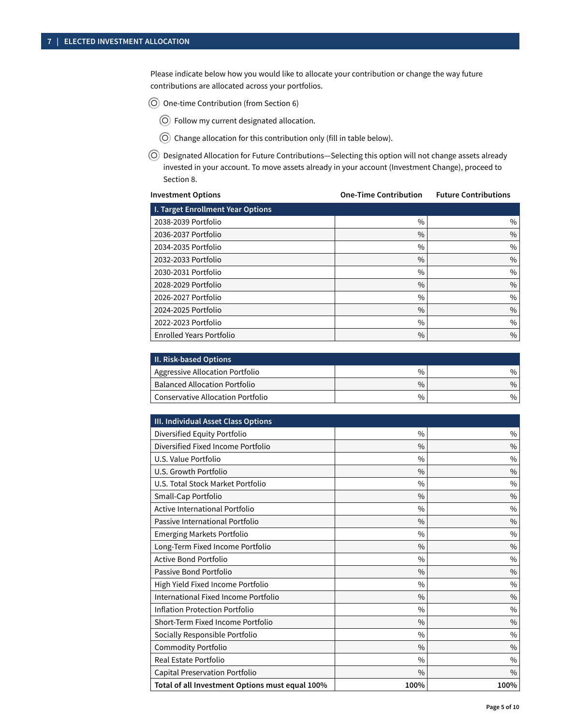Please indicate below how you would like to allocate your contribution or change the way future contributions are allocated across your portfolios.

O One-time Contribution (from Section 6)

- Follow my current designated allocation.
- Change allocation for this contribution only (fill in table below).
- Designated Allocation for Future Contributions—Selecting this option will not change assets already invested in your account. To move assets already in your account (Investment Change), proceed to Section 8.

| <b>Investment Options</b>         | <b>One-Time Contribution</b> | <b>Future Contributions</b> |
|-----------------------------------|------------------------------|-----------------------------|
| I. Target Enrollment Year Options |                              |                             |
| 2038-2039 Portfolio               | $\frac{0}{0}$                | $\%$                        |
| 2036-2037 Portfolio               | $\frac{0}{0}$                | $\frac{0}{0}$               |
| 2034-2035 Portfolio               | $\frac{0}{0}$                | $\%$                        |
| 2032-2033 Portfolio               | $\frac{0}{0}$                | $\frac{0}{0}$               |
| 2030-2031 Portfolio               | $\%$                         | $\%$                        |
| 2028-2029 Portfolio               | $\%$                         | $\frac{0}{0}$               |
| 2026-2027 Portfolio               | $\%$                         | $\%$                        |
| 2024-2025 Portfolio               | $\frac{0}{0}$                | $\frac{0}{0}$               |
| 2022-2023 Portfolio               | $\frac{0}{0}$                | $\%$                        |
| <b>Enrolled Years Portfolio</b>   | $\%$                         | $\frac{0}{0}$               |

| <b>II. Risk-based Options</b>        |      |               |  |  |
|--------------------------------------|------|---------------|--|--|
| Aggressive Allocation Portfolio      | $\%$ | $\%$          |  |  |
| <b>Balanced Allocation Portfolio</b> | $\%$ | $\frac{0}{0}$ |  |  |
| Conservative Allocation Portfolio    | $\%$ | $\%$          |  |  |

| III. Individual Asset Class Options             |               |               |
|-------------------------------------------------|---------------|---------------|
| Diversified Equity Portfolio                    | $\frac{0}{0}$ | $\%$          |
| Diversified Fixed Income Portfolio              | $\frac{0}{0}$ | $\%$          |
| U.S. Value Portfolio                            | $\frac{0}{0}$ | $\frac{0}{0}$ |
| U.S. Growth Portfolio                           | $\frac{0}{0}$ | $\frac{0}{0}$ |
| U.S. Total Stock Market Portfolio               | $\frac{0}{0}$ | $\frac{0}{0}$ |
| Small-Cap Portfolio                             | $\frac{0}{0}$ | $\%$          |
| Active International Portfolio                  | $\frac{0}{0}$ | $\frac{0}{0}$ |
| Passive International Portfolio                 | $\frac{0}{0}$ | $\%$          |
| <b>Emerging Markets Portfolio</b>               | $\frac{0}{0}$ | $\frac{0}{0}$ |
| Long-Term Fixed Income Portfolio                | $\frac{0}{0}$ | $\frac{0}{0}$ |
| Active Bond Portfolio                           | $\frac{0}{0}$ | $\%$          |
| Passive Bond Portfolio                          | $\frac{0}{0}$ | $\frac{0}{0}$ |
| High Yield Fixed Income Portfolio               | $\frac{0}{0}$ | $\%$          |
| International Fixed Income Portfolio            | $\%$          | $\%$          |
| <b>Inflation Protection Portfolio</b>           | $\frac{0}{0}$ | $\%$          |
| Short-Term Fixed Income Portfolio               | $\frac{0}{0}$ | $\frac{0}{0}$ |
| Socially Responsible Portfolio                  | $\frac{0}{0}$ | $\%$          |
| <b>Commodity Portfolio</b>                      | $\frac{0}{0}$ | $\frac{0}{0}$ |
| Real Estate Portfolio                           | $\frac{0}{0}$ | $\frac{0}{0}$ |
| Capital Preservation Portfolio                  | $\frac{0}{0}$ | $\frac{0}{0}$ |
| Total of all Investment Options must equal 100% | 100%          | 100%          |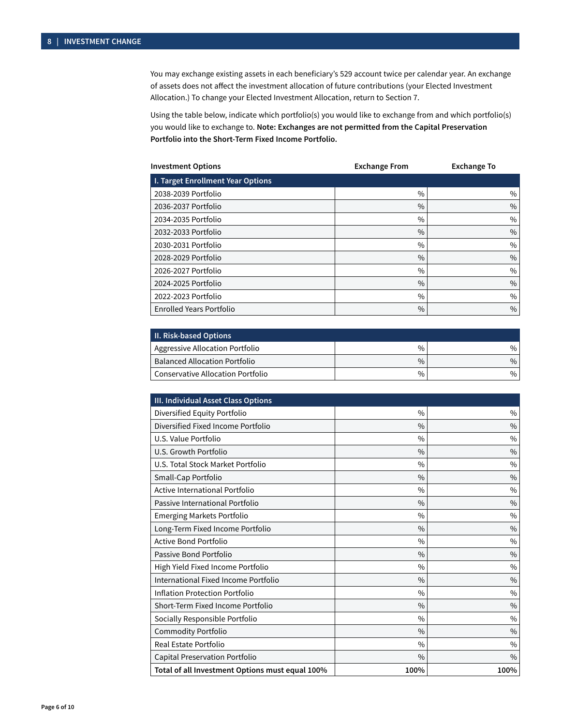You may exchange existing assets in each beneficiary's 529 account twice per calendar year. An exchange of assets does not affect the investment allocation of future contributions (your Elected Investment Allocation.) To change your Elected Investment Allocation, return to Section 7.

Using the table below, indicate which portfolio(s) you would like to exchange from and which portfolio(s) you would like to exchange to. **Note: Exchanges are not permitted from the Capital Preservation Portfolio into the Short-Term Fixed Income Portfolio.**

| <b>Investment Options</b>         | <b>Exchange From</b> | <b>Exchange To</b> |
|-----------------------------------|----------------------|--------------------|
| I. Target Enrollment Year Options |                      |                    |
| 2038-2039 Portfolio               | $\frac{0}{0}$        | $\%$               |
| 2036-2037 Portfolio               | $\frac{0}{0}$        | $\%$               |
| 2034-2035 Portfolio               | $\frac{0}{0}$        | $\%$               |
| 2032-2033 Portfolio               | $\%$                 | $\%$               |
| 2030-2031 Portfolio               | $\%$                 | $\%$               |
| 2028-2029 Portfolio               | $\frac{0}{0}$        | $\%$               |
| 2026-2027 Portfolio               | $\frac{0}{0}$        | $\%$               |
| 2024-2025 Portfolio               | $\frac{0}{0}$        | $\%$               |
| 2022-2023 Portfolio               | $\frac{0}{0}$        | $\%$               |
| <b>Enrolled Years Portfolio</b>   | $\%$                 | $\%$               |

| <b>II. Risk-based Options</b>        |      |               |  |
|--------------------------------------|------|---------------|--|
| Aggressive Allocation Portfolio      | $\%$ | $\%$          |  |
| <b>Balanced Allocation Portfolio</b> | $\%$ | $\frac{0}{0}$ |  |
| Conservative Allocation Portfolio    | $\%$ | $\%$          |  |

| III. Individual Asset Class Options             |               |               |
|-------------------------------------------------|---------------|---------------|
| Diversified Equity Portfolio                    | $\frac{0}{0}$ | $\frac{0}{0}$ |
| Diversified Fixed Income Portfolio              | $\frac{0}{0}$ | $\%$          |
| U.S. Value Portfolio                            | $\frac{0}{0}$ | $\frac{0}{0}$ |
| U.S. Growth Portfolio                           | $\frac{0}{0}$ | $\%$          |
| U.S. Total Stock Market Portfolio               | $\frac{0}{0}$ | $\frac{0}{0}$ |
| Small-Cap Portfolio                             | $\frac{0}{0}$ | $\frac{0}{0}$ |
| Active International Portfolio                  | $\frac{0}{0}$ | $\frac{0}{0}$ |
| Passive International Portfolio                 | $\frac{0}{0}$ | $\frac{0}{0}$ |
| <b>Emerging Markets Portfolio</b>               | $\frac{0}{0}$ | $\frac{0}{0}$ |
| Long-Term Fixed Income Portfolio                | $\frac{0}{0}$ | $\frac{0}{0}$ |
| Active Bond Portfolio                           | $\frac{0}{0}$ | $\%$          |
| Passive Bond Portfolio                          | $\frac{0}{0}$ | $\frac{0}{0}$ |
| High Yield Fixed Income Portfolio               | $\frac{0}{0}$ | $\frac{0}{0}$ |
| International Fixed Income Portfolio            | $\frac{0}{0}$ | $\frac{0}{0}$ |
| <b>Inflation Protection Portfolio</b>           | $\frac{0}{0}$ | $\frac{0}{0}$ |
| Short-Term Fixed Income Portfolio               | $\frac{0}{0}$ | $\frac{0}{0}$ |
| Socially Responsible Portfolio                  | $\frac{0}{0}$ | $\frac{0}{0}$ |
| <b>Commodity Portfolio</b>                      | $\frac{0}{0}$ | $\frac{0}{0}$ |
| <b>Real Estate Portfolio</b>                    | $\frac{0}{0}$ | $\%$          |
| Capital Preservation Portfolio                  | $\frac{0}{0}$ | $\frac{0}{0}$ |
| Total of all Investment Options must equal 100% | 100%          | 100%          |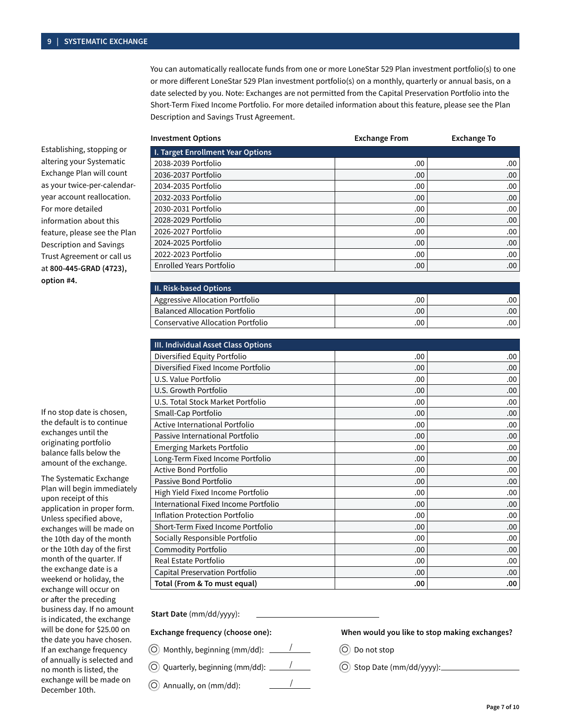You can automatically reallocate funds from one or more LoneStar 529 Plan investment portfolio(s) to one or more different LoneStar 529 Plan investment portfolio(s) on a monthly, quarterly or annual basis, on a date selected by you. Note: Exchanges are not permitted from the Capital Preservation Portfolio into the Short-Term Fixed Income Portfolio. For more detailed information about this feature, please see the Plan Description and Savings Trust Agreement.

| <b>Investment Options</b>         | <b>Exchange From</b> | <b>Exchange To</b> |  |
|-----------------------------------|----------------------|--------------------|--|
| I. Target Enrollment Year Options |                      |                    |  |
| 2038-2039 Portfolio               | .00                  | .00.               |  |
| 2036-2037 Portfolio               | .00.                 | .00.               |  |
| 2034-2035 Portfolio               | .00.                 | .00.               |  |
| 2032-2033 Portfolio               | .00.                 | .00.               |  |
| 2030-2031 Portfolio               | .00.                 | .00.               |  |
| 2028-2029 Portfolio               | .00.                 | .00.               |  |
| 2026-2027 Portfolio               | .00.                 | .00                |  |
| 2024-2025 Portfolio               | .00.                 | .00                |  |
| 2022-2023 Portfolio               | .00.                 | .00                |  |
| <b>Enrolled Years Portfolio</b>   | .00.                 | .00                |  |

| <b>II. Risk-based Options</b>        |     |     |
|--------------------------------------|-----|-----|
| Aggressive Allocation Portfolio      | .00 | .00 |
| <b>Balanced Allocation Portfolio</b> | .00 | .00 |
| Conservative Allocation Portfolio    | .00 | .00 |

| III. Individual Asset Class Options   |     |      |
|---------------------------------------|-----|------|
| Diversified Equity Portfolio          | .00 | .00  |
| Diversified Fixed Income Portfolio    | .00 | .00  |
| U.S. Value Portfolio                  | .00 | .00  |
| U.S. Growth Portfolio                 | .00 | .00. |
| U.S. Total Stock Market Portfolio     | .00 | .00  |
| Small-Cap Portfolio                   | .00 | .00  |
| <b>Active International Portfolio</b> | .00 | .00  |
| Passive International Portfolio       | .00 | .00  |
| <b>Emerging Markets Portfolio</b>     | .00 | .00  |
| Long-Term Fixed Income Portfolio      | .00 | .00  |
| <b>Active Bond Portfolio</b>          | .00 | .00  |
| Passive Bond Portfolio                | .00 | .00  |
| High Yield Fixed Income Portfolio     | .00 | .00  |
| International Fixed Income Portfolio  | .00 | .00  |
| <b>Inflation Protection Portfolio</b> | .00 | .00  |
| Short-Term Fixed Income Portfolio     | .00 | .00  |
| Socially Responsible Portfolio        | .00 | .00  |
| <b>Commodity Portfolio</b>            | .00 | .00. |
| Real Estate Portfolio                 | .00 | .00  |
| Capital Preservation Portfolio        | .00 | .00. |
| Total (From & To must equal)          | .00 | .00  |

**Start Date** (mm/dd/yyyy):

### **Exchange frequency (choose one):**

- $\widehat{\bigcirc}$  Monthly, beginning (mm/dd): \_\_\_\_\_\_/
- $\bigcirc$  Quarterly, beginning (mm/dd): \_\_\_\_\_\_/

• / Annually, on (mm/dd):

- **When would you like to stop making exchanges?**
- O Do not stop
- O Stop Date (mm/dd/yyyy):

Establishing, stopping or altering your Systematic Exchange Plan will count as your twice-per-calendaryear account reallocation. For more detailed information about this feature, please see the Plan Description and Savings Trust Agreement or call us at **800-445-GRAD (4723), option #4.** 

If no stop date is chosen, the default is to continue exchanges until the originating portfolio balance falls below the amount of the exchange.

The Systematic Exchange Plan will begin immediately upon receipt of this application in proper form. Unless specified above, exchanges will be made on the 10th day of the month or the 10th day of the first month of the quarter. If the exchange date is a weekend or holiday, the exchange will occur on or after the preceding business day. If no amount is indicated, the exchange will be done for \$25.00 on the date you have chosen. If an exchange frequency of annually is selected and no month is listed, the exchange will be made on December 10th.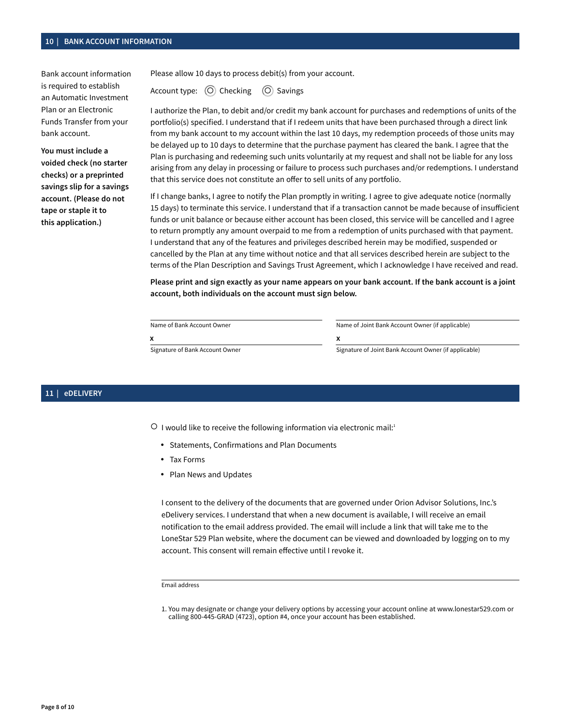## **10 | BANK ACCOUNT INFORMATION**

Bank account information is required to establish an Automatic Investment Plan or an Electronic Funds Transfer from your bank account.

**You must include a voided check (no starter checks) or a preprinted savings slip for a savings account. (Please do not tape or staple it to this application.)**

Please allow 10 days to process debit(s) from your account.

Account type: (O) Checking (O) Savings

I authorize the Plan, to debit and/or credit my bank account for purchases and redemptions of units of the portfolio(s) specified. I understand that if I redeem units that have been purchased through a direct link from my bank account to my account within the last 10 days, my redemption proceeds of those units may be delayed up to 10 days to determine that the purchase payment has cleared the bank. I agree that the Plan is purchasing and redeeming such units voluntarily at my request and shall not be liable for any loss arising from any delay in processing or failure to process such purchases and/or redemptions. I understand that this service does not constitute an offer to sell units of any portfolio.

If I change banks, I agree to notify the Plan promptly in writing. I agree to give adequate notice (normally 15 days) to terminate this service. I understand that if a transaction cannot be made because of insufficient funds or unit balance or because either account has been closed, this service will be cancelled and I agree to return promptly any amount overpaid to me from a redemption of units purchased with that payment. I understand that any of the features and privileges described herein may be modified, suspended or cancelled by the Plan at any time without notice and that all services described herein are subject to the terms of the Plan Description and Savings Trust Agreement, which I acknowledge I have received and read.

**Please print and sign exactly as your name appears on your bank account. If the bank account is a joint account, both individuals on the account must sign below.**

| Name of Bank Account Owner |  |
|----------------------------|--|
|                            |  |

Name of Joint Bank Account Owner (if applicable) X<br>Signature of Bank Account Owner **Account Owner Account Owner (if applicable**) **x x**

### **11 | eDELIVERY**

O I would like to receive the following information via electronic mail:1

- Statements, Confirmations and Plan Documents
- Tax Forms
- Plan News and Updates

I consent to the delivery of the documents that are governed under Orion Advisor Solutions, Inc.'s eDelivery services. I understand that when a new document is available, I will receive an email notification to the email address provided. The email will include a link that will take me to the LoneStar 529 Plan website, where the document can be viewed and downloaded by logging on to my account. This consent will remain effective until I revoke it.

Email address

<sup>1.</sup> You may designate or change your delivery options by accessing your account online at [www.lonestar529.com](http://www.lonestar529.com) or calling 800-445-GRAD (4723), option #4, once your account has been established.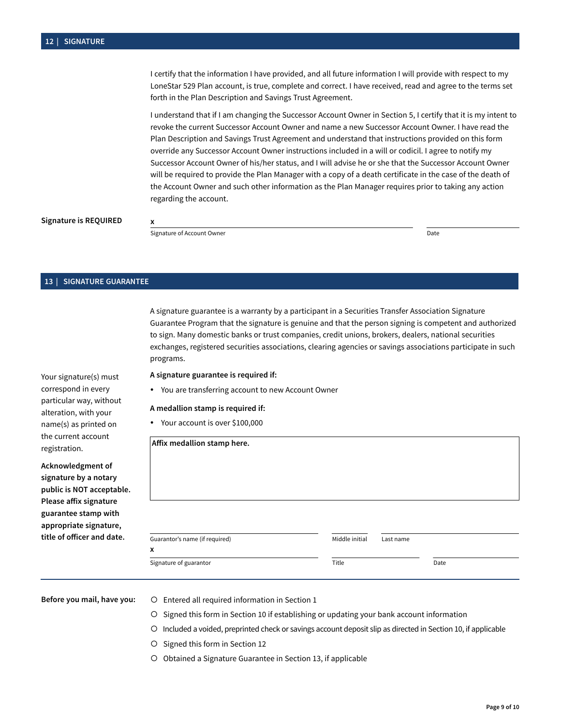I certify that the information I have provided, and all future information I will provide with respect to my LoneStar 529 Plan account, is true, complete and correct. I have received, read and agree to the terms set forth in the Plan Description and Savings Trust Agreement.

I understand that if I am changing the Successor Account Owner in Section 5, I certify that it is my intent to revoke the current Successor Account Owner and name a new Successor Account Owner. I have read the Plan Description and Savings Trust Agreement and understand that instructions provided on this form override any Successor Account Owner instructions included in a will or codicil. I agree to notify my Successor Account Owner of his/her status, and I will advise he or she that the Successor Account Owner will be required to provide the Plan Manager with a copy of a death certificate in the case of the death of the Account Owner and such other information as the Plan Manager requires prior to taking any action regarding the account.

### **Signature is REQUIRED**

**X**<br>Signature of Account Owner ■Date ■Date ■Date ■Date ■Date ■Date ■Date ■Date ■Date

**x**

# **13 | SIGNATURE GUARANTEE**

A signature guarantee is a warranty by a participant in a Securities Transfer Association Signature Guarantee Program that the signature is genuine and that the person signing is competent and authorized to sign. Many domestic banks or trust companies, credit unions, brokers, dealers, national securities exchanges, registered securities associations, clearing agencies or savings associations participate in such programs.

**A signature guarantee is required if:**

• You are transferring account to new Account Owner

#### **A medallion stamp is required if:**

• Your account is over \$100,000

| Guarantor's name (if required)<br>x | Middle initial | Last name |      |
|-------------------------------------|----------------|-----------|------|
| Signature of guarantor              | Title          |           | Date |

- Before you mail, have you: **O** Entered all required information in Section 1
	- Signed this form in Section 10 if establishing or updating your bank account information
	- Included a voided, preprinted check or savings account deposit slip as directed in Section 10, if applicable
	- O Signed this form in Section 12
	- O Obtained a Signature Guarantee in Section 13, if applicable

Your signature(s) must correspond in every particular way, without alteration, with your name(s) as printed on the current account registration.

**Acknowledgment of signature by a notary public is NOT acceptable. Please affix signature guarantee stamp with appropriate signature, title of officer and date.**